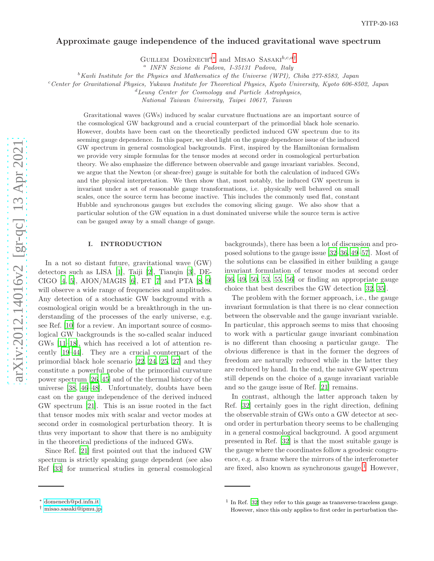# Approximate gauge independence of the induced gravitational wave spectrum

GUILLEM DOMÈNECH<sup>a\*</sup> and MISAO SASAKI<sup>b,c,d</sup>[†](#page-0-1)

a *INFN Sezione di Padova, I-35131 Padova, Italy*

<sup>b</sup>*Kavli Institute for the Physics and Mathematics of the Universe (WPI), Chiba 277-8583, Japan*

<sup>c</sup>*Center for Gravitational Physics, Yukawa Institute for Theoretical Physics, Kyoto University, Kyoto 606-8502, Japan*

<sup>d</sup>*Leung Center for Cosmology and Particle Astrophysics,*

*National Taiwan University, Taipei 10617, Taiwan*

Gravitational waves (GWs) induced by scalar curvature fluctuations are an important source of the cosmological GW background and a crucial counterpart of the primordial black hole scenario. However, doubts have been cast on the theoretically predicted induced GW spectrum due to its seeming gauge dependence. In this paper, we shed light on the gauge dependence issue of the induced GW spectrum in general cosmological backgrounds. First, inspired by the Hamiltonian formalism we provide very simple formulas for the tensor modes at second order in cosmological perturbation theory. We also emphasize the difference between observable and gauge invariant variables. Second, we argue that the Newton (or shear-free) gauge is suitable for both the calculation of induced GWs and the physical interpretation. We then show that, most notably, the induced GW spectrum is invariant under a set of reasonable gauge transformations, i.e. physically well behaved on small scales, once the source term has become inactive. This includes the commonly used flat, constant Hubble and synchronous gauges but excludes the comoving slicing gauge. We also show that a particular solution of the GW equation in a dust dominated universe while the source term is active can be gauged away by a small change of gauge.

## I. INTRODUCTION

In a not so distant future, gravitational wave (GW) detectors such as LISA [\[1\]](#page-12-0), Taiji [\[2\]](#page-12-1), Tianqin [\[3\]](#page-12-2), DE-CIGO  $[4, 5]$  $[4, 5]$ , AION/MAGIS  $[6]$ , ET  $[7]$  and PTA  $[8, 9]$  $[8, 9]$  $[8, 9]$ will observe a wide range of frequencies and amplitudes. Any detection of a stochastic GW background with a cosmological origin would be a breakthrough in the understanding of the processes of the early universe, e.g. see Ref. [\[10\]](#page-12-9) for a review. An important source of cosmological GW backgrounds is the so-called scalar induced GWs [\[11](#page-12-10)[–18\]](#page-12-11), which has received a lot of attention recently [\[19](#page-12-12)[–44\]](#page-13-0). They are a crucial counterpart of the primordial black hole scenario [\[22](#page-12-13), [24,](#page-12-14) [25,](#page-12-15) [27](#page-12-16)] and they constitute a powerful probe of the primordial curvature power spectrum [\[26](#page-12-17), [45\]](#page-13-1) and of the thermal history of the universe [\[38,](#page-12-18) [46](#page-13-2)[–48](#page-13-3)]. Unfortunately, doubts have been cast on the gauge independence of the derived induced GW spectrum [\[21\]](#page-12-19). This is an issue rooted in the fact that tensor modes mix with scalar and vector modes at second order in cosmological perturbation theory. It is thus very important to show that there is no ambiguity in the theoretical predictions of the induced GWs.

Since Ref. [\[21\]](#page-12-19) first pointed out that the induced GW spectrum is strictly speaking gauge dependent (see also Ref [\[33\]](#page-12-20) for numerical studies in general cosmological backgrounds), there has been a lot of discussion and proposed solutions to the gauge issue [\[32](#page-12-21)[–36](#page-12-22), [49](#page-13-4)[–57](#page-13-5)]. Most of the solutions can be classified in either building a gauge invariant formulation of tensor modes at second order [\[36,](#page-12-22) [49,](#page-13-4) [50,](#page-13-6) [53](#page-13-7), [55](#page-13-8), [56\]](#page-13-9) or finding an appropriate gauge choice that best describes the GW detection [\[32,](#page-12-21) [35\]](#page-12-23).

The problem with the former approach, i.e., the gauge invariant formulation is that there is no clear connection between the observable and the gauge invariant variable. In particular, this approach seems to miss that choosing to work with a particular gauge invariant combination is no different than choosing a particular gauge. The obvious difference is that in the former the degrees of freedom are naturally reduced while in the latter they are reduced by hand. In the end, the naive GW spectrum still depends on the choice of a gauge invariant variable and so the gauge issue of Ref. [\[21\]](#page-12-19) remains.

In contrast, although the latter approach taken by Ref. [\[32\]](#page-12-21) certainly goes in the right direction, defining the observable strain of GWs onto a GW detector at second order in perturbation theory seems to be challenging in a general cosmological background. A good argument presented in Ref. [\[32](#page-12-21)] is that the most suitable gauge is the gauge where the coordinates follow a geodesic congruence, e.g. a frame where the mirrors of the interferometer are fixed, also known as synchronous gauge. [1](#page-0-2) However,

<span id="page-0-0"></span><sup>∗</sup> [domenech@pd.infn.it](mailto:{domenech}@{pd.infn.it})

<span id="page-0-1"></span><sup>†</sup> [misao.sasaki@ipmu.jp](mailto:{misao.sasaki}@{ipmu.jp})

<span id="page-0-2"></span><sup>&</sup>lt;sup>1</sup> In Ref. [\[32\]](#page-12-21) they refer to this gauge as transverse-traceless gauge. However, since this only applies to first order in perturbation the-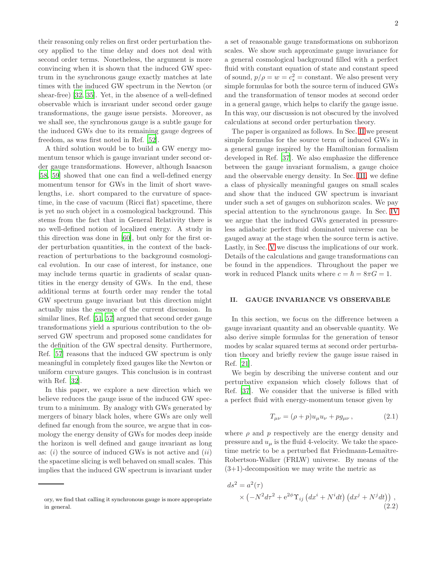their reasoning only relies on first order perturbation theory applied to the time delay and does not deal with second order terms. Nonetheless, the argument is more convincing when it is shown that the induced GW spectrum in the synchronous gauge exactly matches at late times with the induced GW spectrum in the Newton (or shear-free) [\[32,](#page-12-21) [35\]](#page-12-23). Yet, in the absence of a well-defined observable which is invariant under second order gauge transformations, the gauge issue persists. Moreover, as we shall see, the synchronous gauge is a subtle gauge for the induced GWs due to its remaining gauge degrees of freedom, as was first noted in Ref. [\[52\]](#page-13-10).

A third solution would be to build a GW energy momentum tensor which is gauge invariant under second order gauge transformations. However, although Isaacson [\[58,](#page-13-11) [59\]](#page-13-12) showed that one can find a well-defined energy momentum tensor for GWs in the limit of short wavelengths, i.e. short compared to the curvature of spacetime, in the case of vacuum (Ricci flat) spacetime, there is yet no such object in a cosmological background. This stems from the fact that in General Relativity there is no well-defined notion of localized energy. A study in this direction was done in [\[60\]](#page-13-13), but only for the first order perturbation quantities, in the context of the backreaction of perturbations to the background cosmological evolution. In our case of interest, for instance, one may include terms quartic in gradients of scalar quantities in the energy density of GWs. In the end, these additional terms at fourth order may render the total GW spectrum gauge invariant but this direction might actually miss the essence of the current discussion. In similar lines, Ref. [\[51,](#page-13-14) [57](#page-13-5)] argued that second order gauge transformations yield a spurious contribution to the observed GW spectrum and proposed some candidates for the definition of the GW spectral density. Furthermore, Ref. [\[57\]](#page-13-5) reasons that the induced GW spectrum is only meaningful in completely fixed gauges like the Newton or uniform curvature gauges. This conclusion is in contrast with Ref. [\[32](#page-12-21)].

In this paper, we explore a new direction which we believe reduces the gauge issue of the induced GW spectrum to a minimum. By analogy with GWs generated by mergers of binary black holes, where GWs are only well defined far enough from the source, we argue that in cosmology the energy density of GWs for modes deep inside the horizon is well defined and gauge invariant as long as:  $(i)$  the source of induced GWs is not active and  $(ii)$ the spacetime slicing is well behaved on small scales. This implies that the induced GW spectrum is invariant under

a set of reasonable gauge transformations on subhorizon scales. We show such approximate gauge invariance for a general cosmological background filled with a perfect fluid with constant equation of state and constant speed of sound,  $p/\rho = w = c_s^2 = \text{constant}$ . We also present very simple formulas for both the source term of induced GWs and the transformation of tensor modes at second order in a general gauge, which helps to clarify the gauge issue. In this way, our discussion is not obscured by the involved calculations at second order perturbation theory.

The paper is organized as follows. In Sec. [II](#page-1-0) we present simple formulas for the source term of induced GWs in a general gauge inspired by the Hamiltonian formalism developed in Ref. [\[37\]](#page-12-24). We also emphasize the difference between the gauge invariant formalism, a gauge choice and the observable energy density. In Sec. [III,](#page-3-0) we define a class of physically meaningful gauges on small scales and show that the induced GW spectrum is invariant under such a set of gauges on subhorizon scales. We pay special attention to the synchronous gauge. In Sec. [IV](#page-6-0) we argue that the induced GWs generated in pressureless adiabatic perfect fluid dominated universe can be gauged away at the stage when the source term is active. Lastly, in Sec. [V](#page-7-0) we discuss the implications of our work. Details of the calculations and gauge transformations can be found in the appendices. Throughout the paper we work in reduced Planck units where  $c = \hbar = 8\pi G = 1$ .

# <span id="page-1-0"></span>II. GAUGE INVARIANCE VS OBSERVABLE

In this section, we focus on the difference between a gauge invariant quantity and an observable quantity. We also derive simple formulas for the generation of tensor modes by scalar squared terms at second order perturbation theory and briefly review the gauge issue raised in Ref. [\[21\]](#page-12-19).

We begin by describing the universe content and our perturbative expansion which closely follows that of Ref. [\[37\]](#page-12-24). We consider that the universe is filled with a perfect fluid with energy-momentum tensor given by

<span id="page-1-1"></span>
$$
T_{\mu\nu} = (\rho + p)u_{\mu}u_{\nu} + pg_{\mu\nu}, \qquad (2.1)
$$

where  $\rho$  and  $p$  respectively are the energy density and pressure and  $u_{\mu}$  is the fluid 4-velocity. We take the spacetime metric to be a perturbed flat Friedmann-Lemaître-Robertson-Walker (FRLW) universe. By means of the  $(3+1)$ -decomposition we may write the metric as

$$
ds^{2} = a^{2}(\tau)
$$
  
 
$$
\times \left( -N^{2}d\tau^{2} + e^{2\phi}\Upsilon_{ij} \left( dx^{i} + N^{i}dt \right) \left( dx^{j} + N^{j}dt \right) \right),
$$
  
(2.2)

ory, we find that calling it synchronous gauge is more appropriate in general.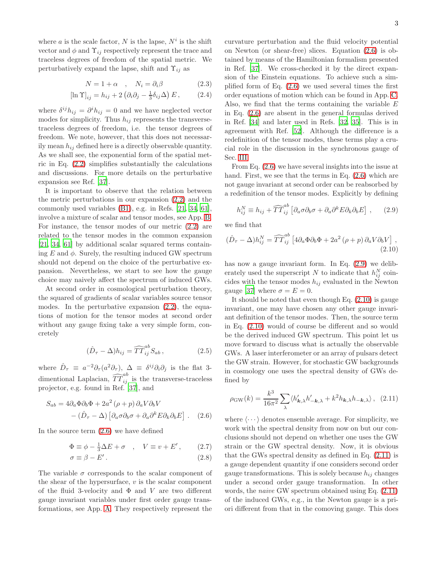where a is the scale factor, N is the lapse,  $N^i$  is the shift vector and  $\phi$  and  $\Upsilon_{ij}$  respectively represent the trace and traceless degrees of freedom of the spatial metric. We perturbatively expand the lapse, shift and  $\Upsilon_{ij}$  as

$$
N = 1 + \alpha \quad , \quad N_i = \partial_i \beta \tag{2.3}
$$

$$
[\ln \Upsilon]_{ij} = h_{ij} + 2 \left( \partial_i \partial_j - \frac{1}{3} \delta_{ij} \Delta \right) E, \qquad (2.4)
$$

where  $\delta^{ij} h_{ij} = \partial^i h_{ij} = 0$  and we have neglected vector modes for simplicity. Thus  $h_{ij}$  represents the transversetraceless degrees of freedom, i.e. the tensor degrees of freedom. We note, however, that this does not necessarily mean  $h_{ij}$  defined here is a directly observable quantity. As we shall see, the exponential form of the spatial metric in Eq. [\(2.2\)](#page-1-1) simplifies substantially the calculations and discussions. For more details on the perturbative expansion see Ref. [\[37\]](#page-12-24).

It is important to observe that the relation between the metric perturbations in our expansion [\(2.2\)](#page-1-1) and the commonly used variables [\(B1\)](#page-8-0), e.g. in Refs. [\[21](#page-12-19), [34,](#page-12-25) [61\]](#page-13-15), involve a mixture of scalar and tensor modes, see App. [B.](#page-8-1) For instance, the tensor modes of our metric [\(2.2\)](#page-1-1) are related to the tensor modes in the common expansion [\[21,](#page-12-19) [34,](#page-12-25) [61](#page-13-15)] by additional scalar squared terms containing  $E$  and  $\phi$ . Surely, the resulting induced GW spectrum should not depend on the choice of the perturbative expansion. Nevertheless, we start to see how the gauge choice may naively affect the spectrum of induced GWs.

At second order in cosmological perturbation theory, the squared of gradients of scalar variables source tensor modes. In the perturbative expansion [\(2.2\)](#page-1-1), the equations of motion for the tensor modes at second order without any gauge fixing take a very simple form, concretely

$$
(\hat{D}_{\tau} - \Delta)h_{ij} = \widehat{TT}_{ij}^{ab} S_{ab} , \qquad (2.5)
$$

where  $\hat{D}_{\tau} \equiv a^{-2} \partial_{\tau} (a^2 \partial_{\tau}), \ \Delta \equiv \delta^{ij} \partial_i \partial_j$  is the flat 3dimentional Laplacian,  $\widehat{TT}^{ab}_{ij}$  is the transverse-traceless projector, e.g. found in Ref. [\[37](#page-12-24)], and

$$
S_{ab} = 4\partial_a \Phi \partial_b \Phi + 2a^2 (\rho + p) \partial_a V \partial_b V
$$

$$
- (\hat{D}_{\tau} - \Delta) [\partial_a \sigma \partial_b \sigma + \partial_a \partial^k E \partial_k \partial_b E] . \quad (2.6)
$$

In the source term [\(2.6\)](#page-2-0) we have defined

$$
\Phi \equiv \phi - \frac{1}{3}\Delta E + \sigma \quad , \quad V \equiv v + E', \quad (2.7)
$$

$$
\sigma \equiv \beta - E' \,. \tag{2.8}
$$

The variable  $\sigma$  corresponds to the scalar component of the shear of the hypersurface,  $v$  is the scalar component of the fluid 3-velocity and  $\Phi$  and V are two different gauge invariant variables under first order gauge transformations, see App. [A.](#page-8-2) They respectively represent the

curvature perturbation and the fluid velocity potential on Newton (or shear-free) slices. Equation [\(2.6\)](#page-2-0) is obtained by means of the Hamiltonian formalism presented in Ref. [\[37\]](#page-12-24). We cross-checked it by the direct expansion of the Einstein equations. To achieve such a simplified form of Eq. [\(2.6\)](#page-2-0) we used several times the first order equations of motion which can be found in App. [C.](#page-9-0) Also, we find that the terms containing the variable  $E$ in Eq. [\(2.6\)](#page-2-0) are absent in the general formulas derived in Ref. [\[34\]](#page-12-25) and later used in Refs. [\[32,](#page-12-21) [35\]](#page-12-23). This is in agreement with Ref. [\[52](#page-13-10)]. Although the difference is a redefinition of the tensor modes, these terms play a crucial role in the discussion in the synchronous gauge of Sec. [III.](#page-3-0)

From Eq. [\(2.6\)](#page-2-0) we have several insights into the issue at hand. First, we see that the terms in Eq.  $(2.6)$  which are not gauge invariant at second order can be reabsorbed by a redefinition of the tensor modes. Explicitly by defining

<span id="page-2-2"></span><span id="page-2-1"></span>
$$
h_{ij}^N \equiv h_{ij} + \widehat{TT}_{ij}^{ab} \left[ \partial_a \sigma \partial_b \sigma + \partial_a \partial^k E \partial_k \partial_b E \right], \qquad (2.9)
$$

we find that

$$
(\hat{D}_{\tau} - \Delta)h_{ij}^N = \widehat{TT}_{ij}^{ab} \left[ 4\partial_a \Phi \partial_b \Phi + 2a^2 (\rho + p) \partial_a V \partial_b V \right],
$$
\n(2.10)

has now a gauge invariant form. In Eq. [\(2.9\)](#page-2-1) we deliberately used the superscript N to indicate that  $h_{ij}^N$  coincides with the tensor modes  $h_{ij}$  evaluated in the Newton gauge [\[37\]](#page-12-24) where  $\sigma = E = 0$ .

<span id="page-2-4"></span>It should be noted that even though Eq.  $(2.10)$  is gauge invariant, one may have chosen any other gauge invariant definition of the tensor modes. Then, the source term in Eq. [\(2.10\)](#page-2-2) would of course be different and so would be the derived induced GW spectrum. This point let us move forward to discuss what is actually the observable GWs. A laser interferometer or an array of pulsars detect the GW strain. However, for stochastic GW backgrounds in cosmology one uses the spectral density of GWs defined by

<span id="page-2-3"></span>
$$
\rho_{\rm GW}(k) = \frac{k^3}{16\pi^2} \sum_{\lambda} \langle h'_{\mathbf{k},\lambda} h'_{-\mathbf{k},\lambda} + k^2 h_{\mathbf{k},\lambda} h_{-\mathbf{k},\lambda} \rangle, \tag{2.11}
$$

<span id="page-2-0"></span>where  $\langle \cdots \rangle$  denotes ensemble average. For simplicity, we work with the spectral density from now on but our conclusions should not depend on whether one uses the GW strain or the GW spectral density. Now, it is obvious that the GWs spectral density as defined in Eq. [\(2.11\)](#page-2-3) is a gauge dependent quantity if one considers second order gauge transformations. This is solely because  $h_{ij}$  changes under a second order gauge transformation. In other words, the *naive* GW spectrum obtained using Eq. [\(2.11\)](#page-2-3) of the induced GWs, e.g., in the Newton gauge is a priori different from that in the comoving gauge. This does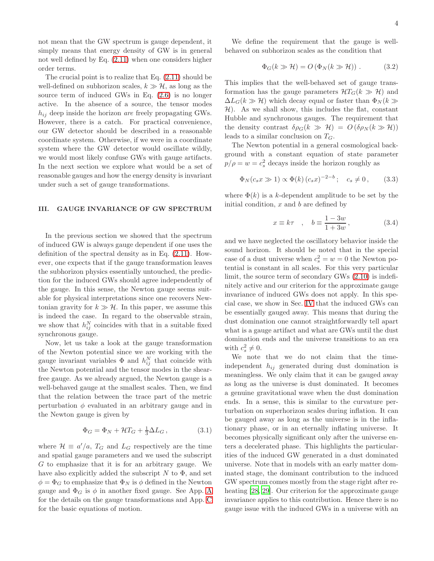not mean that the GW spectrum is gauge dependent, it simply means that energy density of GW is in general not well defined by Eq. [\(2.11\)](#page-2-3) when one considers higher order terms.

The crucial point is to realize that Eq. [\(2.11\)](#page-2-3) should be well-defined on subhorizon scales,  $k \gg H$ , as long as the source term of induced GWs in Eq. [\(2.6\)](#page-2-0) is no longer active. In the absence of a source, the tensor modes  $h_{ij}$  deep inside the horizon *are* freely propagating GWs. However, there is a catch. For practical convenience, our GW detector should be described in a reasonable coordinate system. Otherwise, if we were in a coordinate system where the GW detector would oscillate wildly, we would most likely confuse GWs with gauge artifacts. In the next section we explore what would be a set of reasonable gauges and how the energy density is invariant under such a set of gauge transformations.

## <span id="page-3-0"></span>III. GAUGE INVARIANCE OF GW SPECTRUM

In the previous section we showed that the spectrum of induced GW is always gauge dependent if one uses the definition of the spectral density as in Eq. [\(2.11\)](#page-2-3). However, one expects that if the gauge transformation leaves the subhorizon physics essentially untouched, the prediction for the induced GWs should agree independently of the gauge. In this sense, the Newton gauge seems suitable for physical interpretations since one recovers Newtonian gravity for  $k \gg H$ . In this paper, we assume this is indeed the case. In regard to the observable strain, we show that  $h_{ij}^N$  coincides with that in a suitable fixed synchronous gauge.

Now, let us take a look at the gauge transformation of the Newton potential since we are working with the gauge invariant variables  $\Phi$  and  $h_{ij}^N$  that coincide with the Newton potential and the tensor modes in the shearfree gauge. As we already argued, the Newton gauge is a well-behaved gauge at the smallest scales. Then, we find that the relation between the trace part of the metric perturbation  $\phi$  evaluated in an arbitrary gauge and in the Newton gauge is given by

$$
\Phi_G = \Phi_N + \mathcal{H}T_G + \frac{1}{3}\Delta L_G, \qquad (3.1)
$$

where  $\mathcal{H} \equiv a'/a$ ,  $T_G$  and  $L_G$  respectively are the time and spatial gauge parameters and we used the subscript G to emphasize that it is for an arbitrary gauge. We have also explicitly added the subscript  $N$  to  $\Phi$ , and set  $\phi = \Phi_G$  to emphasize that  $\Phi_N$  is  $\phi$  defined in the Newton gauge and  $\Phi_G$  is  $\phi$  in another fixed gauge. See [A](#page-8-2)pp. A for the details on the gauge transformations and App. [C](#page-9-0) for the basic equations of motion.

We define the requirement that the gauge is wellbehaved on subhorizon scales as the condition that

<span id="page-3-1"></span>
$$
\Phi_G(k \gg \mathcal{H}) = O\left(\Phi_N(k \gg \mathcal{H})\right). \tag{3.2}
$$

This implies that the well-behaved set of gauge transformation has the gauge parameters  $\mathcal{H}T_G(k \gg \mathcal{H})$  and  $\Delta L_G(k \gg \mathcal{H})$  which decay equal or faster than  $\Phi_N(k \gg$  $H$ ). As we shall show, this includes the flat, constant Hubble and synchronous gauges. The requirement that the density contrast  $\delta \rho_G(k \gg \mathcal{H}) = O(\delta \rho_N(k \gg \mathcal{H}))$ leads to a similar conclusion on  $T_G$ .

The Newton potential in a general cosmological background with a constant equation of state parameter  $p/\rho = w = c_s^2$  decays inside the horizon roughly as

$$
\Phi_N(c_s x \gg 1) \propto \Phi(k) (c_s x)^{-2-b}; \quad c_s \neq 0, \qquad (3.3)
$$

where  $\Phi(k)$  is a k-dependent amplitude to be set by the initial condition,  $x$  and  $b$  are defined by

$$
x \equiv k\tau \quad , \quad b \equiv \frac{1 - 3w}{1 + 3w} \,, \tag{3.4}
$$

and we have neglected the oscillatory behavior inside the sound horizon. It should be noted that in the special case of a dust universe when  $c_s^2 = w = 0$  the Newton potential is constant in all scales. For this very particular limit, the source term of secondary GWs [\(2.10\)](#page-2-2) is indefinitely active and our criterion for the approximate gauge invariance of induced GWs does not apply. In this special case, we show in Sec. [IV](#page-6-0) that the induced GWs can be essentially gauged away. This means that during the dust domination one cannot straightforwardly tell apart what is a gauge artifact and what are GWs until the dust domination ends and the universe transitions to an era with  $c_s^2 \neq 0$ .

We note that we do not claim that the timeindependent  $h_{ij}$  generated during dust domination is meaningless. We only claim that it can be gauged away as long as the universe is dust dominated. It becomes a genuine gravitational wave when the dust domination ends. In a sense, this is similar to the curvature perturbation on superhorizon scales during inflation. It can be gauged away as long as the universe is in the inflationary phase, or in an eternally inflating universe. It becomes physically significant only after the universe enters a decelerated phase. This highlights the particularities of the induced GW generated in a dust dominated universe. Note that in models with an early matter dominated stage, the dominant contribution to the induced GW spectrum comes mostly from the stage right after reheating [\[28,](#page-12-26) [29](#page-12-27)]. Our criterion for the approximate gauge invariance applies to this contribution. Hence there is no gauge issue with the induced GWs in a universe with an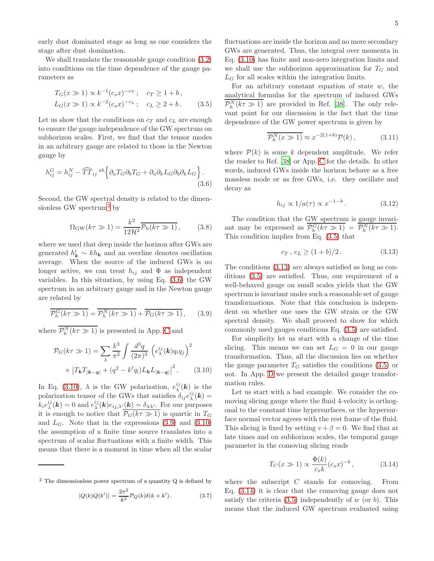early dust dominated stage as long as one considers the stage after dust domination.

We shall translate the reasonable gauge condition [\(3.2\)](#page-3-1) into conditions on the time dependence of the gauge parameters as

$$
T_G(x \gg 1) \propto k^{-1} (c_s x)^{-c_T}; \quad c_T \ge 1 + b,
$$
  
\n
$$
L_G(x \gg 1) \propto k^{-2} (c_s x)^{-c_L}; \quad c_L \ge 2 + b. \tag{3.5}
$$

Let us show that the conditions on  $c_T$  and  $c_L$  are enough to ensure the gauge independence of the GW spectrum on subhorizon scales. First, we find that the tensor modes in an arbitrary gauge are related to those in the Newton gauge by

$$
h_{ij}^G = h_{ij}^N - \widehat{TT}_{ij}^{ab} \left\{ \partial_a T_G \partial_b T_G + \partial_a \partial_k L_G \partial_b \partial_k L_G \right\}.
$$
\n(3.6)

Second, the GW spectral density is related to the dimen-sionless GW spectrum<sup>[2](#page-4-0)</sup> by

$$
\Omega_{\rm GW}(k\tau \gg 1) = \frac{k^2}{12\mathcal{H}^2} \overline{\mathcal{P}_h(k\tau \gg 1)},\tag{3.8}
$$

where we used that deep inside the horizon after GWs are generated  $h'_k \sim kh_k$  and an overline denotes oscillation average. When the source of the induced GWs is no longer active, we can treat  $h_{ij}$  and  $\Phi$  as independent variables. In this situation, by using Eq. [\(3.6\)](#page-4-1) the GW spectrum in an arbitrary gauge and in the Newton gauge are related by

$$
\overline{\mathcal{P}_h^G(k\tau \gg 1)} = \overline{\mathcal{P}_h^N(k\tau \gg 1)} + \overline{\mathcal{P}_G(k\tau \gg 1)},\qquad(3.9)
$$

where  $\mathcal{P}_h^N(k\tau \gg 1)$  is presented in App. [C](#page-9-0) and

$$
\mathcal{P}_G(k\tau \gg 1) = \sum_{\lambda} \frac{k^3}{\pi^2} \int \frac{d^3q}{(2\pi)^3} \left( e_{\lambda}^{ij}(\mathbf{k}) q_i q_j \right)^2
$$

$$
\times \left| T_{\mathbf{k}} T_{|\mathbf{k} - \mathbf{q}|} + (q^2 - k^l q_l) L_{\mathbf{k}} L_{|\mathbf{k} - \mathbf{q}|} \right|^2. \tag{3.10}
$$

In Eq. [\(3.10\)](#page-4-2),  $\lambda$  is the GW polarization,  $e_{\lambda}^{ij}(\boldsymbol{k})$  is the polarization tensor of the GWs that satisfies  $\delta_{ij} e^{ij}_{\lambda}(\mathbf{k}) =$  $k_i e^{ij}_\lambda(\mathbf{k}) = 0$  and  $e^{ij}_\lambda(\mathbf{k}) e_{ij,\lambda'}(\mathbf{k}) = \delta_{\lambda\lambda'}$ . For our purposes it is enough to notice that  $\overline{P_G(k\tau \gg 1)}$  is quartic in  $T_G$ and  $L_G$ . Note that in the expressions  $(3.9)$  and  $(3.10)$ the assumption of a finite time source translates into a spectrum of scalar fluctuations with a finite width. This means that there is a moment in time when all the scalar

$$
\langle Q(k)Q(k')\rangle = \frac{2\pi^2}{k^3} \mathcal{P}_Q(k)\delta(k+k'). \tag{3.7}
$$

fluctuations are inside the horizon and no more secondary GWs are generated. Thus, the integral over momenta in Eq. [\(3.10\)](#page-4-2) has finite and non-zero integration limits and we shall use the subhorizon approximation for  $T_G$  and  $L_G$  for all scales within the integration limits.

<span id="page-4-4"></span>For an arbitrary constant equation of state  $w$ , the analytical formulas for the spectrum of induced GWs  $\mathcal{P}_h^N(k\tau \gg 1)$  are provided in Ref. [\[38](#page-12-18)]. The only relevant point for our discussion is the fact that the time dependence of the GW power spectrum is given by

$$
\overline{\mathcal{P}_h^N(x \gg 1)} \approx x^{-2(1+b)} \mathcal{P}(k) ,\qquad (3.11)
$$

<span id="page-4-1"></span>where  $\mathcal{P}(k)$  is some k dependent amplitude. We refer the reader to Ref. [\[38\]](#page-12-18) or App. [C](#page-9-0) for the details. In other words, induced GWs inside the horizon behave as a free massless mode or as free GWs, i.e. they oscillate and decay as

$$
h_{ij} \propto 1/a(\tau) \propto x^{-1-b} \,. \tag{3.12}
$$

<span id="page-4-7"></span>The condition that the GW spectrum is gauge invariant may be expressed as  $\mathcal{P}_h^G(k\tau \gg 1) = \mathcal{P}_h^N(k\tau \gg 1)$ . This condition implies from Eq. [\(3.5\)](#page-4-4) that

<span id="page-4-5"></span>
$$
c_T, c_L \ge (1 + b)/2. \tag{3.13}
$$

The conditions [\(3.13\)](#page-4-5) are always satisfied as long as conditions [\(3.5\)](#page-4-4) are satisfied. Thus, our requirement of a well-behaved gauge on small scales yields that the GW spectrum is invariant under such a reasonable set of gauge transformations. Note that this conclusion is independent on whether one uses the GW strain or the GW spectral density. We shall proceed to show for which commonly used gauges conditions Eq. [\(3.5\)](#page-4-4) are satisfied.

<span id="page-4-3"></span>For simplicity let us start with a change of the time slicing. This means we can set  $L_G = 0$  in our gauge transformation. Thus, all the discussion lies on whether the gauge parameter  $T_G$  satisfies the conditions [\(3.5\)](#page-4-4) or not. In App. [D](#page-10-0) we present the detailed gauge transformation rules.

<span id="page-4-2"></span>Let us start with a bad example. We consider the comoving slicing gauge where the fluid 4-velocity is orthogonal to the constant time hypersurfaces, or the hypersurface normal vector agrees with the rest frame of the fluid. This slicing is fixed by setting  $v + \beta = 0$ . We find that at late times and on subhorizon scales, the temporal gauge parameter in the comoving slicing reads

<span id="page-4-6"></span>
$$
T_C(x \gg 1) \propto \frac{\Phi(k)}{c_s k} (c_s x)^{-b}, \qquad (3.14)
$$

where the subscript  $C$  stands for comoving. From Eq. [\(3.14\)](#page-4-6) it is clear that the comoving gauge does not satisfy the criteria  $(3.5)$  independently of w (or b). This means that the induced GW spectrum evaluated using

<span id="page-4-0"></span><sup>2</sup> The dimensionless power spectrum of a quantity Q is defined by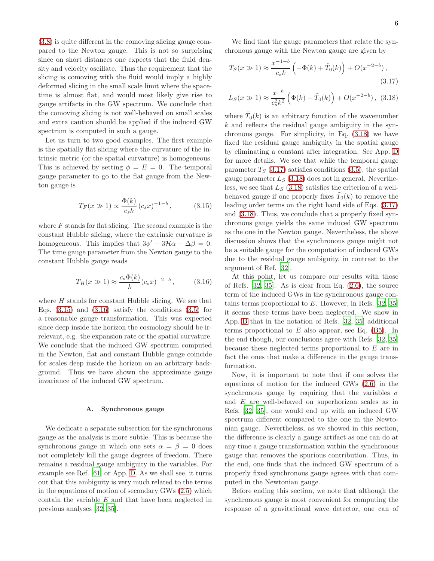[\(3.8\)](#page-4-7) is quite different in the comoving slicing gauge compared to the Newton gauge. This is not so surprising since on short distances one expects that the fluid density and velocity oscillate. Thus the requirement that the slicing is comoving with the fluid would imply a highly deformed slicing in the small scale limit where the spacetime is almost flat, and would most likely give rise to gauge artifacts in the GW spectrum. We conclude that the comoving slicing is not well-behaved on small scales and extra caution should be applied if the induced GW spectrum is computed in such a gauge.

Let us turn to two good examples. The first example is the spatially flat slicing where the curvature of the intrinsic metric (or the spatial curvature) is homogeneous. This is achieved by setting  $\phi = E = 0$ . The temporal gauge parameter to go to the flat gauge from the Newton gauge is

$$
T_F(x \gg 1) \propto \frac{\Phi(k)}{c_s k} (c_s x)^{-1-b}, \quad (3.15)
$$

where  $F$  stands for flat slicing. The second example is the constant Hubble slicing, where the extrinsic curvature is homogeneous. This implies that  $3\phi' - 3\mathcal{H}\alpha - \Delta\beta = 0$ . The time gauge parameter from the Newton gauge to the constant Hubble gauge reads

$$
T_H(x \gg 1) \approx \frac{c_s \Phi(k)}{k} (c_s x)^{-2-b}, \quad (3.16)
$$

where  $H$  stands for constant Hubble slicing. We see that Eqs.  $(3.15)$  and  $(3.16)$  satisfy the conditions  $(3.5)$  for a reasonable gauge transformation. This was expected since deep inside the horizon the cosmology should be irrelevant, e.g. the expansion rate or the spatial curvature. We conclude that the induced GW spectrum computed in the Newton, flat and constant Hubble gauge coincide for scales deep inside the horizon on an arbitrary background. Thus we have shown the approximate gauge invariance of the induced GW spectrum.

#### A. Synchronous gauge

We dedicate a separate subsection for the synchronous gauge as the analysis is more subtle. This is because the synchronous gauge in which one sets  $\alpha = \beta = 0$  does not completely kill the gauge degrees of freedom. There remains a residual gauge ambiguity in the variables. For example see Ref. [\[61\]](#page-13-15) or App. [D.](#page-10-0) As we shall see, it turns out that this ambiguity is very much related to the terms in the equations of motion of secondary GWs [\(2.5\)](#page-2-4) which contain the variable E and that have been neglected in previous analyses [\[32,](#page-12-21) [35\]](#page-12-23).

We find that the gauge parameters that relate the synchronous gauge with the Newton gauge are given by

<span id="page-5-3"></span>
$$
T_S(x \gg 1) \approx \frac{x^{-1-b}}{c_s k} \left( -\Phi(k) + \tilde{T}_0(k) \right) + O(x^{-2-b}),
$$
\n(3.17)

<span id="page-5-2"></span>
$$
L_S(x \gg 1) \approx \frac{x^{-b}}{c_s^2 k^2} \left( \Phi(k) - \tilde{T}_0(k) \right) + O(x^{-2-b}), \tag{3.18}
$$

where  $\tilde{T}_0(k)$  is an arbitrary function of the wavenumber  $k$  and reflects the residual gauge ambiguity in the synchronous gauge. For simplicity, in Eq. [\(3.18\)](#page-5-2) we have fixed the residual gauge ambiguity in the spatial gauge by eliminating a constant after integration. See App. [D](#page-10-0) for more details. We see that while the temporal gauge parameter  $T_S$  [\(3.17\)](#page-5-3) satisfies conditions [\(3.5\)](#page-4-4), the spatial gauge parameter  $L_S$  [\(3.18\)](#page-5-2) does not in general. Nevertheless, we see that  $L<sub>S</sub>$  [\(3.18\)](#page-5-2) satisfies the criterion of a wellbehaved gauge if one properly fixes  $\tilde{T}_0(k)$  to remove the leading order terms on the right hand side of Eqs. [\(3.17\)](#page-5-3) and [\(3.18\)](#page-5-2). Thus, we conclude that a properly fixed synchronous gauge yields the same induced GW spectrum as the one in the Newton gauge. Nevertheless, the above discussion shows that the synchronous gauge might not be a suitable gauge for the computation of induced GWs due to the residual gauge ambiguity, in contrast to the argument of Ref. [\[32\]](#page-12-21).

<span id="page-5-1"></span><span id="page-5-0"></span>At this point, let us compare our results with those of Refs.  $[32, 35]$  $[32, 35]$ . As is clear from Eq.  $(2.6)$ , the source term of the induced GWs in the synchronous gauge contains terms proportional to  $E$ . However, in Refs. [\[32,](#page-12-21) [35](#page-12-23)] it seems these terms have been neglected. We show in App. [B](#page-8-1) that in the notation of Refs. [\[32](#page-12-21), [35\]](#page-12-23) additional terms proportional to  $E$  also appear, see Eq. [\(B5\)](#page-9-1). In the end though, our conclusions agree with Refs. [\[32,](#page-12-21) [35](#page-12-23)] because these neglected terms proportional to E are in fact the ones that make a difference in the gauge transformation.

Now, it is important to note that if one solves the equations of motion for the induced GWs [\(2.6\)](#page-2-0) in the synchronous gauge by requiring that the variables  $\sigma$ and E are well-behaved on superhorizon scales as in Refs. [\[32,](#page-12-21) [35\]](#page-12-23), one would end up with an induced GW spectrum different compared to the one in the Newtonian gauge. Nevertheless, as we showed in this section, the difference is clearly a gauge artifact as one can do at any time a gauge transformation within the synchronous gauge that removes the spurious contribution. Thus, in the end, one finds that the induced GW spectrum of a properly fixed synchronous gauge agrees with that computed in the Newtonian gauge.

Before ending this section, we note that although the synchronous gauge is most convenient for computing the response of a gravitational wave detector, one can of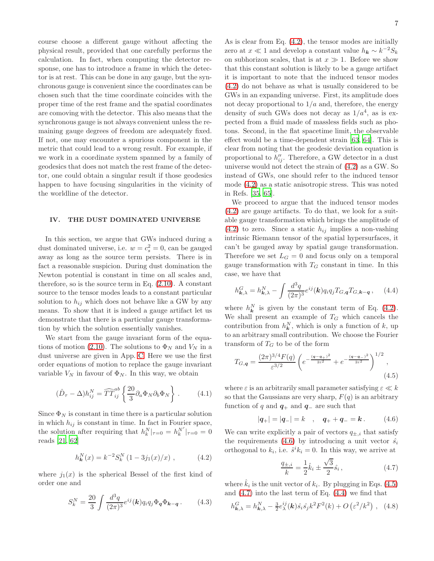course choose a different gauge without affecting the physical result, provided that one carefully performs the calculation. In fact, when computing the detector response, one has to introduce a frame in which the detector is at rest. This can be done in any gauge, but the synchronous gauge is convenient since the coordinates can be chosen such that the time coordinate coincides with the proper time of the rest frame and the spatial coordinates are comoving with the detector. This also means that the synchronous gauge is not always convenient unless the remaining gauge degrees of freedom are adequately fixed. If not, one may encounter a spurious component in the metric that could lead to a wrong result. For example, if we work in a coordinate system spanned by a family of geodesics that does not match the rest frame of the detector, one could obtain a singular result if those geodesics happen to have focusing singularities in the vicinity of the worldline of the detector.

#### <span id="page-6-0"></span>IV. THE DUST DOMINATED UNIVERSE

In this section, we argue that GWs induced during a dust dominated universe, i.e.  $w = c_s^2 = 0$ , can be gauged away as long as the source term persists. There is in fact a reasonable suspicion. During dust domination the Newton potential is constant in time on all scales and, therefore, so is the source term in Eq.  $(2.10)$ . A constant source to the tensor modes leads to a constant particular solution to  $h_{ij}$  which does not behave like a GW by any means. To show that it is indeed a gauge artifact let us demonstrate that there is a particular gauge transformation by which the solution essentially vanishes.

We start from the gauge invariant form of the equa-tions of motion [\(2.10\)](#page-2-2). The solutions to  $\Phi_N$  and  $V_N$  in a dust universe are given in App. [C.](#page-9-0) Here we use the first order equations of motion to replace the gauge invariant variable  $V_N$  in favour of  $\Phi_N$ . In this way, we obtain

$$
(\hat{D}_{\tau} - \Delta)h_{ij}^N = \widehat{TT}_{ij}^{ab} \left\{ \frac{20}{3} \partial_a \Phi_N \partial_b \Phi_N \right\}.
$$
 (4.1)

Since  $\Phi_N$  is constant in time there is a particular solution in which  $h_{ij}$  is constant in time. In fact in Fourier space, the solution after requiring that  $h_k^N|_{\tau=0} = h_k^{N'}|_{\tau=0} = 0$ reads [\[21,](#page-12-19) [62\]](#page-13-16)

$$
h_{\mathbf{k}}^{N}(x) = k^{-2} S_{k}^{N} (1 - 3j_{1}(x)/x) , \qquad (4.2)
$$

where  $j_1(x)$  is the spherical Bessel of the first kind of order one and

$$
S_k^N = \frac{20}{3} \int \frac{d^3q}{(2\pi)^3} e^{ij}(\mathbf{k}) q_i q_j \Phi_{\mathbf{q}} \Phi_{\mathbf{k} - \mathbf{q}}.
$$
 (4.3)

As is clear from Eq. [\(4.2\)](#page-6-1), the tensor modes are initially zero at  $x \ll 1$  and develop a constant value  $h_{\mathbf{k}} \sim k^{-2} S_k$ on subhorizon scales, that is at  $x \gg 1$ . Before we show that this constant solution is likely to be a gauge artifact it is important to note that the induced tensor modes [\(4.2\)](#page-6-1) do not behave as what is usually considered to be GWs in an expanding universe. First, its amplitude does not decay proportional to  $1/a$  and, therefore, the energy density of such GWs does not decay as  $1/a<sup>4</sup>$ , as is expected from a fluid made of massless fields such as photons. Second, in the flat spacetime limit, the observable effect would be a time-dependent strain [\[63,](#page-13-17) [64\]](#page-13-18). This is clear from noting that the geodesic deviation equation is proportional to  $h_{ij}''$ . Therefore, a GW detector in a dust universe would not detect the strain of [\(4.2\)](#page-6-1) as a GW. So instead of GWs, one should refer to the induced tensor mode [\(4.2\)](#page-6-1) as a static anisotropic stress. This was noted in Refs. [\[35](#page-12-23), [65](#page-13-19)].

We proceed to argue that the induced tensor modes [\(4.2\)](#page-6-1) are gauge artifacts. To do that, we look for a suitable gauge transformation which brings the amplitude of  $(4.2)$  to zero. Since a static  $h_{ij}$  implies a non-vashing intrinsic Riemann tensor of the spatial hypersurfaces, it can't be gauged away by spatial gauge transformation. Therefore we set  $L_G = 0$  and focus only on a temporal gauge transformation with  $T_G$  constant in time. In this case, we have that

<span id="page-6-5"></span>
$$
h_{\mathbf{k},\lambda}^G = h_{\mathbf{k},\lambda}^N - \int \frac{d^3q}{(2\pi)^3} e^{ij}(\mathbf{k}) q_i q_j T_{G,\mathbf{q}} T_{G,\mathbf{k}-\mathbf{q}} ,\qquad (4.4)
$$

where  $h_k^N$  is given by the constant term of Eq. [\(4.2\)](#page-6-1). We shall present an example of  $T_G$  which cancels the contribution from  $h_k^N$ , which is only a function of k, up to an arbitrary small contribution. We choose the Fourier transform of  $T_G$  to be of the form

$$
T_{G,q} = \frac{(2\pi)^{3/4} F(q)}{\varepsilon^{3/2}} \left( e^{-\frac{(q-q_+)^2}{2\varepsilon^2}} + e^{-\frac{(q-q_-)^2}{2\varepsilon^2}} \right)^{1/2},\tag{4.5}
$$

where  $\varepsilon$  is an arbitrarily small parameter satisfying  $\varepsilon \ll k$ so that the Gaussians are very sharp,  $F(q)$  is an arbitrary function of q and  $q_+$  and  $q_-$  are such that

<span id="page-6-3"></span>
$$
|q_{+}| = |q_{-}| = k \quad , \quad q_{+} + q_{-} = k \,. \tag{4.6}
$$

<span id="page-6-1"></span>We can write explicitly a pair of vectors  $q_{\pm,i}$  that satisfy the requirements [\(4.6\)](#page-6-2) by introducing a unit vector  $\hat{s_i}$ orthogonal to  $k_i$ , i.e.  $\hat{s}^i k_i = 0$ . In this way, we arrive at

<span id="page-6-6"></span><span id="page-6-4"></span><span id="page-6-2"></span>
$$
\frac{q_{\pm,i}}{k} = \frac{1}{2}\hat{k}_i \pm \frac{\sqrt{3}}{2}\hat{s}_i ,
$$
 (4.7)

where  $\hat{k}_i$  is the unit vector of  $k_i$ . By plugging in Eqs. [\(4.5\)](#page-6-3) and [\(4.7\)](#page-6-4) into the last term of Eq. [\(4.4\)](#page-6-5) we find that

$$
h_{\mathbf{k},\lambda}^{G} = h_{\mathbf{k},\lambda}^{N} - \frac{3}{2} e_{\lambda}^{ij}(\mathbf{k}) \hat{s}_{i} \hat{s}_{j} k^{2} F^{2}(k) + O\left(\varepsilon^{2}/k^{2}\right) , \quad (4.8)
$$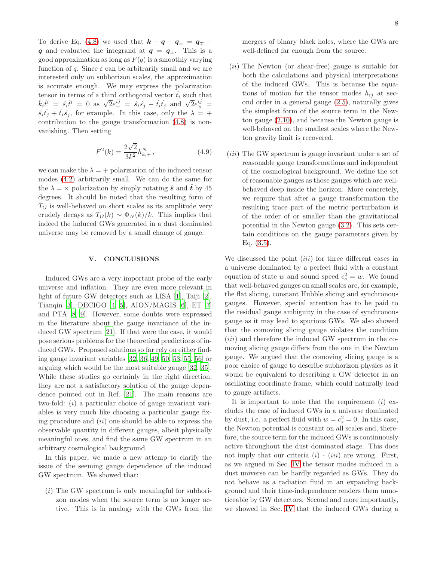To derive Eq. [\(4.8\)](#page-6-6) we used that  $k - q - q_{\pm} = q_{\mp}$ q and evaluated the integrand at  $q = q_{\pm}$ . This is a good approximation as long as  $F(q)$  is a smoothly varying function of q. Since  $\varepsilon$  can be arbitrarily small and we are interested only on subhorizon scales, the approximation is accurate enough. We may express the polarization tensor in terms of a third orthogonal vector  $\hat{t}_i$  such that  $\hat{k}_i \hat{t}^i = \hat{s}_i \hat{t}^i = 0$  as  $\sqrt{2}e^{ij}_+ = \hat{s}_i \hat{s}_j - \hat{t}_i \hat{t}_j$  and  $\sqrt{2}e^{ij}_\times =$  $\hat{s_i}\hat{t_j} + \hat{t_i}\hat{s_j}$ , for example. In this case, only the  $\lambda = +$ contribution to the gauge transformation [\(4.8\)](#page-6-6) is nonvanishing. Then setting

$$
F^2(k) = \frac{2\sqrt{2}}{3k^2} h_{k,+}^N ,\qquad (4.9)
$$

we can make the  $\lambda = +$  polarization of the induced tensor modes [\(4.2\)](#page-6-1) arbitrarily small. We can do the same for the  $\lambda = \times$  polarization by simply rotating  $\hat{s}$  and  $\hat{t}$  by 45 degrees. It should be noted that the resulting form of  $T_G$  is well-behaved on short scales as its amplitude very crudely decays as  $T_G(k) \sim \Phi_N(k)/k$ . This implies that indeed the induced GWs generated in a dust dominated universe may be removed by a small change of gauge.

### <span id="page-7-0"></span>V. CONCLUSIONS

Induced GWs are a very important probe of the early universe and inflation. They are even more relevant in light of future GW detectors such as LISA [\[1](#page-12-0)], Taiji [\[2\]](#page-12-1), Tianqin [\[3\]](#page-12-2), DECIGO [\[4](#page-12-3), [5](#page-12-4)], AION/MAGIS [\[6\]](#page-12-5), ET [\[7](#page-12-6)] and PTA [\[8,](#page-12-7) [9\]](#page-12-8). However, some doubts were expressed in the literature about the gauge invariance of the induced GW spectrum [\[21\]](#page-12-19). If that were the case, it would pose serious problems for the theoretical predictions of induced GWs. Proposed solutions so far rely on either finding gauge invariant variables [\[32](#page-12-21), [36,](#page-12-22) [49](#page-13-4), [50,](#page-13-6) [53,](#page-13-7) [55](#page-13-8), [56\]](#page-13-9) or arguing which would be the most suitable gauge [\[32,](#page-12-21) [35\]](#page-12-23). While these studies go certainly in the right direction, they are not a satisfactory solution of the gauge dependence pointed out in Ref. [\[21](#page-12-19)]. The main reasons are two-fold: (i) a particular choice of gauge invariant variables is very much like choosing a particular gauge fixing procedure and  $(ii)$  one should be able to express the observable quantity in different gauges, albeit physically meaningful ones, and find the same GW spectrum in an arbitrary cosmological background.

In this paper, we made a new attemp to clarify the issue of the seeming gauge dependence of the induced GW spectrum. We showed that:

 $(i)$  The GW spectrum is only meaningful for subhorizon modes when the source term is no longer active. This is in analogy with the GWs from the mergers of binary black holes, where the GWs are well-defined far enough from the source.

- (ii) The Newton (or shear-free) gauge is suitable for both the calculations and physical interpretations of the induced GWs. This is because the equations of motion for the tensor modes  $h_{ij}$  at second order in a general gauge [\(2.5\)](#page-2-4), naturally gives the simplest form of the source term in the Newton gauge [\(2.10\)](#page-2-2), and because the Newton gauge is well-behaved on the smallest scales where the Newton gravity limit is recovered.
- (*iii*) The GW spectrum is gauge invariant under a set of reasonable gauge transformations and independent of the cosmological background. We define the set of reasonable gauges as those gauges which are wellbehaved deep inside the horizon. More concretely, we require that after a gauge transformation the resulting trace part of the metric perturbation is of the order of or smaller than the gravitational potential in the Newton gauge [\(3.2\)](#page-3-1). This sets certain conditions on the gauge parameters given by Eq. [\(3.5\)](#page-4-4).

We discussed the point *(iii)* for three different cases in a universe dominated by a perfect fluid with a constant equation of state w and sound speed  $c_s^2 = w$ . We found that well-behaved gauges on small scales are, for example, the flat slicing, constant Hubble slicing and synchronous gauges. However, special attention has to be paid to the residual gauge ambiguity in the case of synchronous gauge as it may lead to spurious GWs. We also showed that the comoving slicing gauge violates the condition  $(iii)$  and therefore the induced GW spectrum in the comoving slicing gauge differs from the one in the Newton gauge. We argued that the comoving slicing gauge is a poor choice of gauge to describe subhorizon physics as it would be equivalent to describing a GW detector in an oscillating coordinate frame, which could naturally lead to gauge artifacts.

It is important to note that the requirement  $(i)$  excludes the case of induced GWs in a universe dominated by dust, i.e. a perfect fluid with  $w = c_s^2 = 0$ . In this case, the Newton potential is constant on all scales and, therefore, the source term for the induced GWs is continuously active throughout the dust dominated stage. This does not imply that our criteria  $(i)$  -  $(iii)$  are wrong. First, as we argued in Sec. [IV](#page-6-0) the tensor modes induced in a dust universe can be hardly regarded as GWs. They do not behave as a radiation fluid in an expanding background and their time-independence renders them unnoticeable by GW detectors. Second and more importantly, we showed in Sec. [IV](#page-6-0) that the induced GWs during a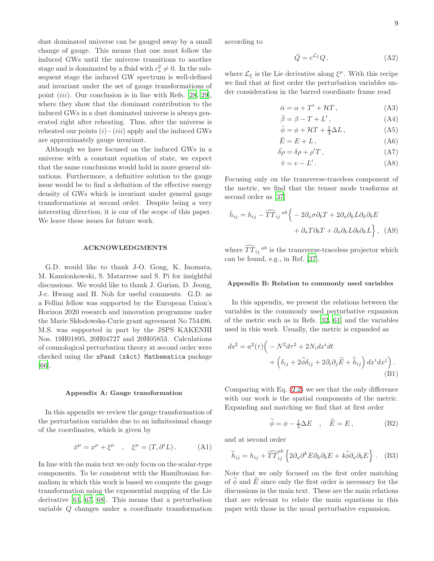dust dominated universe can be gauged away by a small change of gauge. This means that one must follow the induced GWs until the universe transitions to another stage and is dominated by a fluid with  $c_s^2 \neq 0$ . In the subsequent stage the induced GW spectrum is well-defined and invariant under the set of gauge transformations of point  $(iii)$ . Our conclusion is in line with Refs. [\[28](#page-12-26), [29\]](#page-12-27), where they show that the dominant contribution to the induced GWs in a dust dominated universe is always generated right after reheating. Thus, after the universe is reheated our points  $(i)$  -  $(iii)$  apply and the induced GWs are approximately gauge invariant.

Although we have focused on the induced GWs in a universe with a constant equation of state, we expect that the same conclusions would hold in more general situations. Furthermore, a definitive solution to the gauge issue would be to find a definition of the effective energy density of GWs which is invariant under general gauge transformations at second order. Despite being a very interesting direction, it is our of the scope of this paper. We leave these issues for future work.

#### ACKNOWLEDGMENTS

G.D. would like to thank J-O. Gong, K. Inomata, M. Kamionkowski, S. Matarrese and S. Pi for insightful discussions. We would like to thank J. Gurian, D. Jeong, J-c. Hwang and H. Noh for useful comments. G.D. as a Fellini fellow was supported by the European Union's Horizon 2020 research and innovation programme under the Marie Skłodowska-Curie grant agreement No  $754496$ . M.S. was supported in part by the JSPS KAKENHI Nos. 19H01895, 20H04727 and 20H05853. Calculations of cosmological perturbation theory at second order were checked using the xPand (xAct) Mathematica package [\[66\]](#page-13-20).

## <span id="page-8-2"></span>Appendix A: Gauge transformation

In this appendix we review the gauge transformation of the perturbation variables due to an infinitesimal change of the coordinates, which is given by

$$
\bar{x}^{\mu} = x^{\mu} + \xi^{\mu} \quad , \quad \xi^{\mu} = (T, \partial^{i} L). \tag{A1}
$$

In line with the main text we only focus on the scalar-type components. To be consistent with the Hamiltonian formalism in which this work is based we compute the gauge transformation using the exponential mapping of the Lie derivative [\[61](#page-13-15), [67,](#page-13-21) [68\]](#page-13-22). This means that a perturbation variable Q changes under a coordinate transformation

according to

<span id="page-8-3"></span>
$$
\bar{Q} = e^{\mathcal{L}_{\xi}} Q, \qquad (A2)
$$

where  $\mathcal{L}_{\xi}$  is the Lie derivative along  $\xi^{\mu}$ . With this recipe we find that at first order the perturbation variables under consideration in the barred coordinate frame read

$$
\bar{\alpha} = \alpha + T' + \mathcal{H}T, \qquad (A3)
$$

$$
\bar{\beta} = \beta - T + L',\tag{A4}
$$

$$
\bar{\phi} = \phi + \mathcal{H}T + \frac{1}{3}\Delta L\,,\tag{A5}
$$

$$
\bar{E} = E + L \,,\tag{A6}
$$

$$
\bar{\delta\rho} = \delta\rho + \rho'T \,, \tag{A7}
$$

<span id="page-8-4"></span>
$$
\bar{v} = v - L' \,. \tag{A8}
$$

Focusing only on the transverse-traceless component of the metric, we find that the tensor mode trasforms at second order as [\[37](#page-12-24)]

$$
\bar{h}_{ij} = h_{ij} - \widehat{TT}_{ij}^{ab} \left\{ -2\partial_a \sigma \partial_b T + 2\partial_a \partial_k L \partial_k \partial_b E \n+ \partial_a T \partial_b T + \partial_a \partial_k L \partial_b \partial_k L \right\}, \quad (A9)
$$

where  $\widehat{T} \widehat{T}_{ij}^{\ ab}$  is the transverse-traceless projector which can be found, e.g., in Ref. [\[37\]](#page-12-24).

## <span id="page-8-1"></span>Appendix B: Relation to commonly used variables

In this appendix, we present the relations between the variables in the commonly used perturbative expansion of the metric such as in Refs. [\[32,](#page-12-21) [61](#page-13-15)] and the variables used in this work. Usually, the metric is expanded as

$$
ds^{2} = a^{2}(\tau) \Big( -N^{2} d\tau^{2} + 2N_{i} dx^{i} dt + \Big( \delta_{ij} + 2\tilde{\phi}\delta_{ij} + 2\partial_{i}\partial_{j} \tilde{E} + \tilde{h}_{ij} \Big) dx^{i} dx^{j} \Big).
$$
\n(B1)

Comparing with Eq. [\(2.2\)](#page-1-1) we see that the only difference with our work is the spatial components of the metric. Expanding and matching we find that at first order

<span id="page-8-0"></span>
$$
\widetilde{\phi} = \phi - \frac{1}{3}\Delta E \quad , \quad \widetilde{E} = E \,, \tag{B2}
$$

and at second order

$$
\widetilde{h}_{ij} = h_{ij} + \widehat{TT}_{ij}^{ab} \left\{ 2\partial_a \partial^k E \partial_k \partial_b E + 4 \widetilde{\phi} \partial_a \partial_b E \right\} .
$$
 (B3)

Note that we only focused on the first order matching of  $\phi$  and E since only the first order is necessary for the discussions in the main text. These are the main relations that are relevant to relate the main equations in this paper with those in the usual perturbative expansion.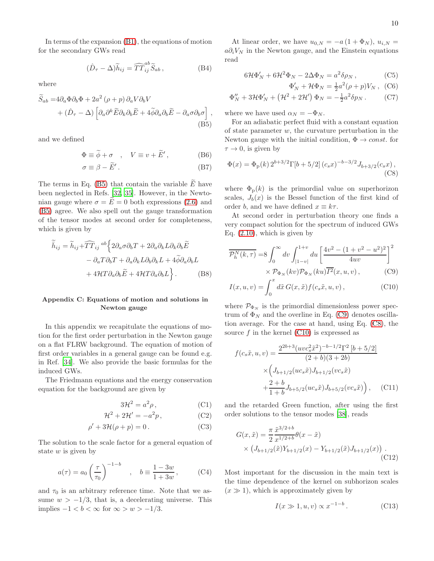In terms of the expansion [\(B1\)](#page-8-0), the equations of motion for the secondary GWs read

$$
(\hat{D}_{\tau} - \Delta)\tilde{h}_{ij} = \widehat{TT}_{ij}^{ab}\tilde{S}_{ab} ,\qquad (B4)
$$

where

$$
\widetilde{S}_{ab} = 4\partial_a \Phi \partial_b \Phi + 2a^2 (\rho + p) \partial_a V \partial_b V \n+ (\hat{D}_{\tau} - \Delta) \left[ \partial_a \partial^k \widetilde{E} \partial_k \partial_b \widetilde{E} + 4 \widetilde{\phi} \partial_a \partial_b \widetilde{E} - \partial_a \sigma \partial_b \sigma \right],
$$
\n(B5)

and we defined

$$
\Phi \equiv \tilde{\phi} + \sigma \quad , \quad V \equiv v + \tilde{E}' \,, \tag{B6}
$$

$$
\sigma \equiv \beta - \tilde{E}'.
$$
 (B7)

The terms in Eq. [\(B5\)](#page-9-1) that contain the variable  $\widetilde{E}$  have been neglected in Refs. [\[32](#page-12-21), [35](#page-12-23)]. However, in the Newtonian gauge where  $\sigma = \tilde{E} = 0$  both expressions [\(2.6\)](#page-2-0) and [\(B5\)](#page-9-1) agree. We also spell out the gauge transformation of the tensor modes at second order for completeness, which is given by

$$
\widetilde{\bar{h}}_{ij} = \widetilde{h}_{ij} + \widehat{TT}_{ij}^{ab} \left\{ 2\partial_a \sigma \partial_b T + 2\partial_a \partial_k L \partial_k \partial_b \widetilde{E} \right.\n- \partial_a T \partial_b T + \partial_a \partial_k L \partial_b \partial_k L + 4 \widetilde{\phi} \partial_a \partial_b L \n+ 4\mathcal{H} T \partial_a \partial_b \widetilde{E} + 4\mathcal{H} T \partial_a \partial_b L \right\}.
$$
\n(B8)

# <span id="page-9-0"></span>Appendix C: Equations of motion and solutions in Newton gauge

In this appendix we recapitulate the equations of motion for the first order perturbation in the Newton gauge on a flat FLRW background. The equation of motion of first order variables in a general gauge can be found e.g. in Ref. [\[34](#page-12-25)]. We also provide the basic formulas for the induced GWs.

The Friedmann equations and the energy conservation equation for the background are given by

$$
3\mathcal{H}^2 = a^2 \rho \,,\tag{C1}
$$

$$
\mathcal{H}^2 + 2\mathcal{H}' = -a^2 p,\tag{C2}
$$

$$
\rho' + 3\mathcal{H}(\rho + p) = 0.
$$
 (C3)

The solution to the scale factor for a general equation of state  $w$  is given by

$$
a(\tau) = a_0 \left(\frac{\tau}{\tau_0}\right)^{-1-b} \quad , \quad b \equiv \frac{1-3w}{1+3w}, \quad (C4)
$$

and  $\tau_0$  is an arbitrary reference time. Note that we assume  $w > -1/3$ , that is, a decelerating universe. This implies  $-1 < b < \infty$  for  $\infty > w > -1/3$ .

At linear order, we have  $u_{0,N} = -a(1 + \Phi_N)$ ,  $u_{i,N} =$  $a\partial_i V_N$  in the Newton gauge, and the Einstein equations read

$$
6\mathcal{H}\Phi'_N + 6\mathcal{H}^2\Phi_N - 2\Delta\Phi_N = a^2\delta\rho_N\,,\tag{C5}
$$

<span id="page-9-3"></span>
$$
\Phi'_N + \mathcal{H}\Phi_N = \frac{1}{2}a^2(\rho + p)V_N , \quad (C6)
$$

$$
\Phi''_N + 3\mathcal{H}\Phi'_N + \left(\mathcal{H}^2 + 2\mathcal{H}'\right)\Phi_N = -\frac{1}{2}a^2\delta p_N.
$$
 (C7)

where we have used  $\alpha_N = -\Phi_N$ .

<span id="page-9-1"></span>For an adiabatic perfect fluid with a constant equation of state parameter  $w$ , the curvature perturbation in the Newton gauge with the initial condition,  $\Phi \rightarrow const.$  for  $\tau \to 0$ , is given by

$$
\Phi(x) = \Phi_{\rm p}(k) 2^{b+3/2} \Gamma[b+5/2] (c_s x)^{-b-3/2} J_{b+3/2}(c_s x),
$$
\n(C8)

where  $\Phi_{\rm p}(k)$  is the primordial value on superhorizon scales,  $J_b(x)$  is the Bessel function of the first kind of order b, and we have defined  $x \equiv k\tau$ .

At second order in perturbation theory one finds a very compact solution for the spectrum of induced GWs Eq.  $(2.10)$ , which is given by

$$
\overline{\mathcal{P}_h^N(k,\tau)} = 8 \int_0^\infty dv \int_{|1-v|}^{1+v} du \left[ \frac{4v^2 - (1+v^2 - u^2)^2}{4uv} \right]^2
$$

$$
\times \mathcal{P}_{\Phi_N}(kv) \mathcal{P}_{\Phi_N}(ku) \overline{I^2}(x,u,v) , \qquad (C9)
$$

<span id="page-9-4"></span><span id="page-9-2"></span>
$$
I(x, u, v) = \int_0^x d\tilde{x} G(x, \tilde{x}) f(c_s \tilde{x}, u, v), \qquad (C10)
$$

where  $\mathcal{P}_{\Phi_N}$  is the primordial dimensionless power spectrum of  $\Phi_N$  and the overline in Eq. [\(C9\)](#page-9-2) denotes oscillation average. For the case at hand, using Eq. [\(C8\)](#page-9-3), the source  $f$  in the kernel  $(C10)$  is expressed as

$$
f(c_s \tilde{x}, u, v) = \frac{2^{2b+3}(uvc_s^2 \tilde{x}^2)^{-b-1/2} \Gamma^2 [b+5/2]}{(2+b)(3+2b)}
$$

$$
\times \left( J_{b+1/2}(uc_s \tilde{x}) J_{b+1/2}(vc_s \tilde{x}) + \frac{2+b}{1+b} J_{b+5/2}(uc_s \tilde{x}) J_{b+5/2}(vc_s \tilde{x}) \right), \quad \text{(C11)}
$$

and the retarded Green function, after using the first order solutions to the tensor modes [\[38\]](#page-12-18), reads

$$
G(x,\tilde{x}) = \frac{\pi}{2} \frac{\tilde{x}^{3/2+b}}{x^{1/2+b}} \theta(x - \tilde{x})
$$
  
 
$$
\times \left( J_{b+1/2}(\tilde{x}) Y_{b+1/2}(x) - Y_{b+1/2}(\tilde{x}) J_{b+1/2}(x) \right).
$$
(C12)

Most important for the discussion in the main text is the time dependence of the kernel on subhorizon scales  $(x \gg 1)$ , which is approximately given by

$$
I(x \gg 1, u, v) \propto x^{-1-b} \,. \tag{C13}
$$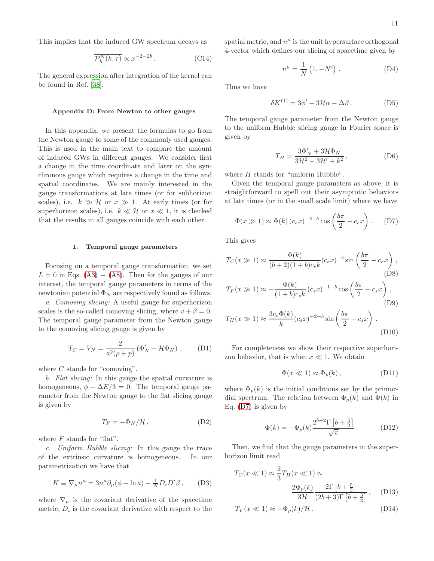This implies that the induced GW spectrum decays as

$$
\overline{\mathcal{P}_h^N(k,\tau)} \propto x^{-2-2b} \,. \tag{C14}
$$

The general expression after integration of the kernel can be found in Ref. [\[38\]](#page-12-18).

### <span id="page-10-0"></span>Appendix D: From Newton to other gauges

In this appendix, we present the formulas to go from the Newton gauge to some of the commonly used gauges. This is used in the main text to compare the amount of induced GWs in different gauges. We consider first a change in the time coordinate and later on the synchronous gauge which requires a change in the time and spatial coordinates. We are mainly interested in the gauge transformations at late times (or for subhorizon scales), i.e.  $k \gg H$  or  $x \gg 1$ . At early times (or for superhorizon scales), i.e.  $k \ll H$  or  $x \ll 1$ , it is checked that the results in all gauges coincide with each other.

#### 1. Temporal gauge parameters

Focusing on a temporal gauge transformation, we set  $L = 0$  in Eqs. [\(A3\)](#page-8-3) – [\(A8\)](#page-8-4). Then for the gauges of our interest, the temporal gauge parameters in terms of the newtonian potential  $\Phi_N$  are respectively found as follows.

*a. Comoving slicing:* A useful gauge for superhorizon scales is the so-called comoving slicing, where  $v + \beta = 0$ . The temporal gauge parameter from the Newton gauge to the comoving slicing gauge is given by

$$
T_C = V_N = \frac{2}{a^2(\rho + p)} \left( \Phi'_N + \mathcal{H}\Phi_N \right) , \quad \text{(D1)}
$$

where  $C$  stands for "comoving".

*b. Flat slicing:* In this gauge the spatial curvature is homogeneous,  $\phi - \Delta E/3 = 0$ . The temporal gauge parameter from the Newton gauge to the flat slicing gauge is given by

$$
T_F = -\Phi_N/\mathcal{H},\qquad (D2)
$$

where  $F$  stands for "flat".

*c. Uniform Hubble slicing:* In this gauge the trace of the extrinsic curvature is homogeneous. In our parametrization we have that

$$
K \equiv \nabla_{\mu} n^{\mu} = 3n^{\mu} \partial_{\mu} (\phi + \ln a) - \frac{1}{N} D_{i} D^{i} \beta , \qquad (D3)
$$

where  $\nabla_{\mu}$  is the covariant derivative of the spacetime metric,  $D_i$  is the covariant derivative with respect to the

spatial metric, and  $n^{\mu}$  is the unit hypersurface orthogonal 4-vector which defines our slicing of spacetime given by

$$
n^{\mu} = \frac{1}{N} \left( 1, -N^{i} \right) . \tag{D4}
$$

Thus we have

$$
\delta K^{(1)} = 3\phi' - 3\mathcal{H}\alpha - \Delta\beta. \tag{D5}
$$

The temporal gauge parameter from the Newton gauge to the uniform Hubble slicing gauge in Fourier space is given by

<span id="page-10-1"></span>
$$
T_H = \frac{3\Phi_N' + 3\mathcal{H}\Phi_N}{3\mathcal{H}^2 - 3\mathcal{H}' + k^2},\tag{D6}
$$

where  $H$  stands for "uniform Hubble".

Given the temporal gauge parameters as above, it is straightforward to spell out their asymptotic behaviors at late times (or in the small scale limit) where we have

$$
\Phi(x \gg 1) \approx \Phi(k) (c_s x)^{-2-b} \cos\left(\frac{b\pi}{2} - c_s x\right). \quad (D7)
$$

This gives

$$
T_C(x \gg 1) \approx \frac{\Phi(k)}{(b+2)(1+b)c_s k} (c_s x)^{-b} \sin\left(\frac{b\pi}{2} - c_s x\right),
$$
\n(D8)  
\n
$$
T_F(x \gg 1) \approx -\frac{\Phi(k)}{(1+b)c_s k} (c_s x)^{-1-b} \cos\left(\frac{b\pi}{2} - c_s x\right),
$$
\n(D9)  
\n
$$
T_H(x \gg 1) \approx \frac{3c_s \Phi(k)}{k} (c_s x)^{-2-b} \sin\left(\frac{b\pi}{2} - c_s x\right).
$$

k 2 (D10)

For completeness we show their respective superhorizon behavior, that is when  $x \ll 1$ . We obtain

$$
\Phi(x \ll 1) \approx \Phi_p(k), \qquad (D11)
$$

where  $\Phi_n(k)$  is the initial conditions set by the primordial spectrum. The relation between  $\Phi_p(k)$  and  $\Phi(k)$  in Eq. [\(D7\)](#page-10-1) is given by

$$
\Phi(k) = -\Phi_p(k) \frac{2^{b+2} \Gamma\left[b + \frac{5}{2}\right]}{\sqrt{\pi}}.
$$
 (D12)

Then, we find that the gauge parameters in the superhorizon limit read

$$
T_C(x \ll 1) \approx \frac{2}{3} T_H(x \ll 1) \approx
$$

$$
\frac{2\Phi_p(k)}{3\mathcal{H}} \frac{2\Gamma\left[b + \frac{5}{2}\right]}{(2b+3)\Gamma\left[b + \frac{3}{2}\right]}, \quad (D13)
$$

$$
T_F(x \ll 1) \approx -\Phi_p(k)/\mathcal{H}.
$$
 (D14)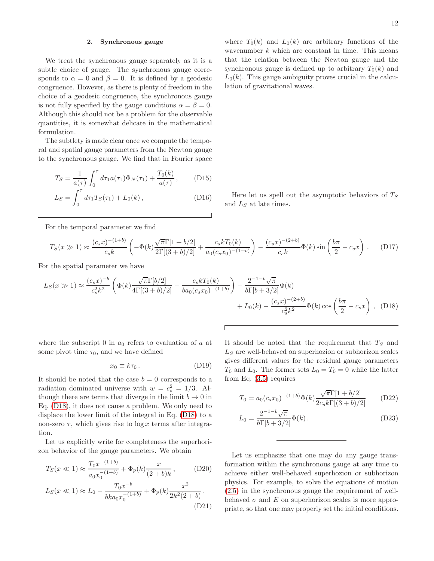## 2. Synchronous gauge

We treat the synchronous gauge separately as it is a subtle choice of gauge. The synchronous gauge corresponds to  $\alpha = 0$  and  $\beta = 0$ . It is defined by a geodesic congruence. However, as there is plenty of freedom in the choice of a geodesic congruence, the synchronous gauge is not fully specified by the gauge conditions  $\alpha = \beta = 0$ . Although this should not be a problem for the observable quantities, it is somewhat delicate in the mathematical formulation.

The subtlety is made clear once we compute the temporal and spatial gauge parameters from the Newton gauge to the synchronous gauge. We find that in Fourier space

$$
T_S = \frac{1}{a(\tau)} \int_0^{\tau} d\tau_1 a(\tau_1) \Phi_N(\tau_1) + \frac{T_0(k)}{a(\tau)}, \quad (D15)
$$

$$
L_S = \int_0^{\tau} d\tau_1 T_S(\tau_1) + L_0(k), \qquad (D16)
$$

For the temporal parameter we find

$$
T_S(x \gg 1) \approx \frac{(c_s x)^{-(1+b)}}{c_s k} \left( -\Phi(k) \frac{\sqrt{\pi} \Gamma[1+b/2]}{2\Gamma[(3+b)/2]} + \frac{c_s k T_0(k)}{a_0 (c_s x_0)^{-(1+b)}} \right) - \frac{(c_s x)^{-(2+b)}}{c_s k} \Phi(k) \sin\left(\frac{b\pi}{2} - c_s x\right) . \tag{D17}
$$

For the spatial parameter we have

$$
L_S(x \gg 1) \approx \frac{(c_s x)^{-b}}{c_s^2 k^2} \left( \Phi(k) \frac{\sqrt{\pi} \Gamma[b/2]}{4 \Gamma[(3+b)/2]} - \frac{c_s k T_0(k)}{b a_0 (c_s x_0)^{-(1+b)}} \right) - \frac{2^{-1-b} \sqrt{\pi}}{b \Gamma[b+3/2]} \Phi(k)
$$
  
+  $L_0(k) - \frac{(c_s x)^{-(2+b)}}{c_s^2 k^2} \Phi(k) \cos\left(\frac{b \pi}{2} - c_s x\right)$ , (D18)

where the subscript 0 in  $a_0$  refers to evaluation of a at some pivot time  $\tau_0$ , and we have defined

$$
x_0 \equiv k\tau_0. \tag{D19}
$$

It should be noted that the case  $b = 0$  corresponds to a radiation dominated universe with  $w = c_s^2 = 1/3$ . Although there are terms that diverge in the limit  $b \to 0$  in Eq. [\(D18\)](#page-11-0), it does not cause a problem. We only need to displace the lower limit of the integral in Eq. [\(D18\)](#page-11-0) to a non-zero  $\tau$ , which gives rise to  $\log x$  terms after integration.

Let us explicitly write for completeness the superhorizon behavior of the gauge parameters. We obtain

$$
T_S(x \ll 1) \approx \frac{T_0 x^{-(1+b)}}{a_0 x_0^{-(1+b)}} + \Phi_p(k) \frac{x}{(2+b)k},
$$
 (D20)

$$
L_S(x \ll 1) \approx L_0 - \frac{T_0 x^{-b}}{b k a_0 x_0^{-(1+b)}} + \Phi_p(k) \frac{x^2}{2k^2(2+b)}.
$$
\n(D21)

where  $T_0(k)$  and  $L_0(k)$  are arbitrary functions of the wavenumber  $k$  which are constant in time. This means that the relation between the Newton gauge and the synchronous gauge is defined up to arbitrary  $T_0(k)$  and  $L_0(k)$ . This gauge ambiguity proves crucial in the calculation of gravitational waves.

Here let us spell out the asymptotic behaviors of  $T_S$ and  $L<sub>S</sub>$  at late times.

<span id="page-11-0"></span>It should be noted that the requirement that  $T<sub>S</sub>$  and  $L<sub>S</sub>$  are well-behaved on superhozion or subhorizon scales gives different values for the residual gauge parameters  $T_0$  and  $L_0$ . The former sets  $L_0 = T_0 = 0$  while the latter from Eq. [\(3.5\)](#page-4-4) requires

$$
T_0 = a_0 (c_s x_0)^{-(1+b)} \Phi(k) \frac{\sqrt{\pi} \Gamma[1 + b/2]}{2c_s k \Gamma[(3+b)/2]} \tag{D22}
$$

$$
L_0 = \frac{2^{-1-b}\sqrt{\pi}}{b\Gamma[b+3/2]}\Phi(k).
$$
 (D23)

Let us emphasize that one may do any gauge transformation within the synchronous gauge at any time to achieve either well-behaved superhozion or subhorizon physics. For example, to solve the equations of motion [\(2.5\)](#page-2-4) in the synchronous gauge the requirement of wellbehaved  $\sigma$  and E on superhorizon scales is more appropriate, so that one may properly set the initial conditions.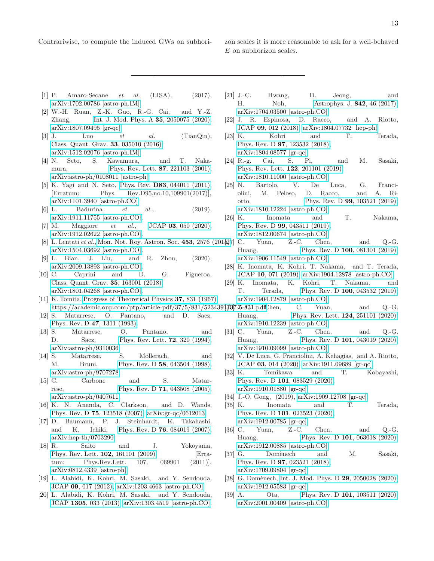- <span id="page-12-0"></span>[1] P. Amaro-Seoane *et al.* (LISA), (2017), [arXiv:1702.00786 \[astro-ph.IM\].](http://arxiv.org/abs/1702.00786)
- <span id="page-12-1"></span>[2] W.-H. Ruan, Z.-K. Guo, R.-G. Cai, and Y.-Z. Zhang, [Int. J. Mod. Phys. A](http://dx.doi.org/10.1142/S0217751X2050075X) **35**, 2050075 (2020), [arXiv:1807.09495 \[gr-qc\].](http://arxiv.org/abs/1807.09495)
- <span id="page-12-2"></span>[3] J. Luo *et al.* (TianQin), [Class. Quant. Grav.](http://dx.doi.org/ 10.1088/0264-9381/33/3/035010) 33, 035010 (2016), [arXiv:1512.02076 \[astro-ph.IM\].](http://arxiv.org/abs/1512.02076)
- <span id="page-12-3"></span>[4] N. Seto, S. Kawamura, and T. Naka-mura, [Phys. Rev. Lett.](http://dx.doi.org/10.1103/PhysRevLett.87.221103) **87**, 221103 (2001), [arXiv:astro-ph/0108011 \[astro-ph\].](http://arxiv.org/abs/astro-ph/0108011)
- <span id="page-12-4"></span>[5] K. Yagi and N. Seto, Phys. Rev. **D83**[, 044011 \(2011\),](http://dx.doi.org/10.1103/PhysRevD.95.109901, 10.1103/PhysRevD.83.044011) [Erratum: Phys. Rev.D95,no.10,109901(2017)], [arXiv:1101.3940 \[astro-ph.CO\].](http://arxiv.org/abs/1101.3940)
- <span id="page-12-5"></span>[6] L. Badurina *et al.*, (2019), [arXiv:1911.11755 \[astro-ph.CO\].](http://arxiv.org/abs/1911.11755)
- <span id="page-12-6"></span>[7] M. Maggiore *et al.*, JCAP **03**[, 050 \(2020\),](http://dx.doi.org/10.1088/1475-7516/2020/03/050) [arXiv:1912.02622 \[astro-ph.CO\].](http://arxiv.org/abs/1912.02622)
- <span id="page-12-7"></span>[8] L. Lentati *et al.*, [Mon. Not. Roy. Astron. Soc.](http://dx.doi.org/10.1093/mnras/stv1538) 453, 2576 (2015), [27] C. Yuan, Z.-C. Chen, and Q.-G. [arXiv:1504.03692 \[astro-ph.CO\].](http://arxiv.org/abs/1504.03692)
- <span id="page-12-8"></span>[9] L. Bian, J. Liu, and R. Zhou, (2020), [arXiv:2009.13893 \[astro-ph.CO\].](http://arxiv.org/abs/2009.13893)
- <span id="page-12-9"></span>[10] C. Caprini and D. G. Figueroa, [Class. Quant. Grav.](http://dx.doi.org/10.1088/1361-6382/aac608) 35, 163001 (2018), [arXiv:1801.04268 \[astro-ph.CO\].](http://arxiv.org/abs/1801.04268)
- <span id="page-12-10"></span>[11] K. Tomita, [Progress of Theoretical Physics](http://dx.doi.org/10.1143/PTP.37.831) 37, 831 (1967),
- [12] S. Matarrese, O. Pantano, and D. Saez, [Phys. Rev. D](http://dx.doi.org/10.1103/PhysRevD.47.1311) 47, 1311 (1993).
- [13] S. Matarrese, O. Pantano, and D. Saez, [Phys. Rev. Lett.](http://dx.doi.org/10.1103/PhysRevLett.72.320) **72**, 320 (1994), [arXiv:astro-ph/9310036.](http://arxiv.org/abs/astro-ph/9310036)
- [14] S. Matarrese, S. Mollerach, and M. Bruni, Phys. Rev. D **58**[, 043504 \(1998\),](http://dx.doi.org/10.1103/PhysRevD.58.043504) [arXiv:astro-ph/9707278.](http://arxiv.org/abs/astro-ph/9707278)
- [15] C. Carbone and S. Matarrese, Phys. Rev. D **71**[, 043508 \(2005\),](http://dx.doi.org/10.1103/PhysRevD.71.043508) [arXiv:astro-ph/0407611.](http://arxiv.org/abs/astro-ph/0407611)
- [16] K. N. Ananda, C. Clarkson, and D. Wands, Phys. Rev. D 75[, 123518 \(2007\),](http://dx.doi.org/10.1103/PhysRevD.75.123518) [arXiv:gr-qc/0612013.](http://arxiv.org/abs/gr-qc/0612013)
- [17] D. Baumann, P. J. Steinhardt, K. Takahashi, and K. Ichiki, Phys. Rev. D 76[, 084019 \(2007\),](http://dx.doi.org/10.1103/PhysRevD.76.084019) [arXiv:hep-th/0703290.](http://arxiv.org/abs/hep-th/0703290)
- <span id="page-12-11"></span>[18] R. Saito and J. Yokoyama, [Phys. Rev. Lett.](http://dx.doi.org/10.1103/PhysRevLett.102.161101) **102**, 161101 (2009), [Erratum: Phys.Rev.Lett. 107, 069901 (2011)], [arXiv:0812.4339 \[astro-ph\].](http://arxiv.org/abs/0812.4339)
- <span id="page-12-18"></span><span id="page-12-12"></span>[19] L. Alabidi, K. Kohri, M. Sasaki, and Y. Sendouda, JCAP 09[, 017 \(2012\),](http://dx.doi.org/ 10.1088/1475-7516/2012/09/017) [arXiv:1203.4663 \[astro-ph.CO\].](http://arxiv.org/abs/1203.4663)
- [20] L. Alabidi, K. Kohri, M. Sasaki, and Y. Sendouda, JCAP 1305[, 033 \(2013\),](http://dx.doi.org/10.1088/1475-7516/2013/05/033) [arXiv:1303.4519 \[astro-ph.CO\].](http://arxiv.org/abs/1303.4519)
- <span id="page-12-19"></span>[21] J.-C. Hwang, D. Jeong, and H. Noh, [Astrophys. J.](http://dx.doi.org/ 10.3847/1538-4357/aa74be) **842**, 46 (2017), [arXiv:1704.03500 \[astro-ph.CO\].](http://arxiv.org/abs/1704.03500)
- <span id="page-12-13"></span>[22] J. R. Espinosa, D. Racco, and A. Riotto, JCAP 09[, 012 \(2018\),](http://dx.doi.org/10.1088/1475-7516/2018/09/012) [arXiv:1804.07732 \[hep-ph\].](http://arxiv.org/abs/1804.07732)
- [23] K. Kohri and T. Terada, Phys. Rev. D 97[, 123532 \(2018\),](http://dx.doi.org/10.1103/PhysRevD.97.123532) [arXiv:1804.08577 \[gr-qc\].](http://arxiv.org/abs/1804.08577)
- <span id="page-12-14"></span>[24] R.-g. Cai, S. Pi, and M. Sasaki, [Phys. Rev. Lett.](http://dx.doi.org/10.1103/PhysRevLett.122.201101) 122, 201101 (2019), [arXiv:1810.11000 \[astro-ph.CO\].](http://arxiv.org/abs/1810.11000)
- <span id="page-12-15"></span>[25] N. Bartolo, V. De Luca, G. Franciolini, M. Peloso, D. Racco, and A. Riotto, Phys. Rev. D 99[, 103521 \(2019\),](http://dx.doi.org/ 10.1103/PhysRevD.99.103521) [arXiv:1810.12224 \[astro-ph.CO\].](http://arxiv.org/abs/1810.12224)
- <span id="page-12-17"></span>[26] K. Inomata and T. Nakama, Phys. Rev. D 99[, 043511 \(2019\),](http://dx.doi.org/10.1103/PhysRevD.99.043511) [arXiv:1812.00674 \[astro-ph.CO\].](http://arxiv.org/abs/1812.00674)
- <span id="page-12-16"></span>Huang, Phys. Rev. D **100**[, 081301 \(2019\),](http://dx.doi.org/10.1103/PhysRevD.100.081301) [arXiv:1906.11549 \[astro-ph.CO\].](http://arxiv.org/abs/1906.11549)
- <span id="page-12-26"></span>[28] K. Inomata, K. Kohri, T. Nakama, and T. Terada, JCAP 10[, 071 \(2019\),](http://dx.doi.org/ 10.1088/1475-7516/2019/10/071) [arXiv:1904.12878 \[astro-ph.CO\].](http://arxiv.org/abs/1904.12878)
- <span id="page-12-27"></span><span id="page-12-25"></span><span id="page-12-24"></span><span id="page-12-23"></span><span id="page-12-22"></span><span id="page-12-21"></span><span id="page-12-20"></span>[29] K. Inomata, K. Kohri, T. Nakama, and T. Terada, Phys. Rev. D 100[, 043532 \(2019\),](http://dx.doi.org/ 10.1103/PhysRevD.100.043532) [arXiv:1904.12879 \[astro-ph.CO\].](http://arxiv.org/abs/1904.12879)
- https://academic.oup.com/ptp/article-pdf/37/5/831/5234391307-25-831.pdfChen, C. Yuan, and Q.-G. Huang, [Phys. Rev. Lett.](http://dx.doi.org/10.1103/PhysRevLett.124.251101) **124**, 251101 (2020), [arXiv:1910.12239 \[astro-ph.CO\].](http://arxiv.org/abs/1910.12239)
	- [31] C. Yuan, Z.-C. Chen, and Q.-G. Huang, Phys. Rev. D **101**[, 043019 \(2020\),](http://dx.doi.org/10.1103/PhysRevD.101.043019) [arXiv:1910.09099 \[astro-ph.CO\].](http://arxiv.org/abs/1910.09099)
	- [32] V. De Luca, G. Franciolini, A. Kehagias, and A. Riotto, JCAP 03[, 014 \(2020\),](http://dx.doi.org/10.1088/1475-7516/2020/03/014) [arXiv:1911.09689 \[gr-qc\].](http://arxiv.org/abs/1911.09689)
	- [33] K. Tomikawa and T. Kobayashi, Phys. Rev. D 101[, 083529 \(2020\),](http://dx.doi.org/10.1103/PhysRevD.101.083529) [arXiv:1910.01880 \[gr-qc\].](http://arxiv.org/abs/1910.01880)
	- [34] J.-O. Gong, (2019), [arXiv:1909.12708 \[gr-qc\].](http://arxiv.org/abs/1909.12708)
	- [35] K. Inomata and T. Terada, Phys. Rev. D 101[, 023523 \(2020\),](http://dx.doi.org/10.1103/PhysRevD.101.023523) [arXiv:1912.00785 \[gr-qc\].](http://arxiv.org/abs/1912.00785)
	- [36] C. Yuan, Z.-C. Chen, and Q.-G. Huang, Phys. Rev. D **101**[, 063018 \(2020\),](http://dx.doi.org/10.1103/PhysRevD.101.063018) [arXiv:1912.00885 \[astro-ph.CO\].](http://arxiv.org/abs/1912.00885)
	- [37] G. Domènech and M. Sasaki, Phys. Rev. D 97[, 023521 \(2018\),](http://dx.doi.org/10.1103/PhysRevD.97.023521) [arXiv:1709.09804 \[gr-qc\].](http://arxiv.org/abs/1709.09804)
	- [38] G. Domènech, [Int. J. Mod. Phys. D](http://dx.doi.org/10.1142/S0218271820500285) 29, 2050028 (2020), [arXiv:1912.05583 \[gr-qc\].](http://arxiv.org/abs/1912.05583)
	- [39] A. Ota, Phys. Rev. D 101[, 103511 \(2020\),](http://dx.doi.org/10.1103/PhysRevD.101.103511) [arXiv:2001.00409 \[astro-ph.CO\].](http://arxiv.org/abs/2001.00409)